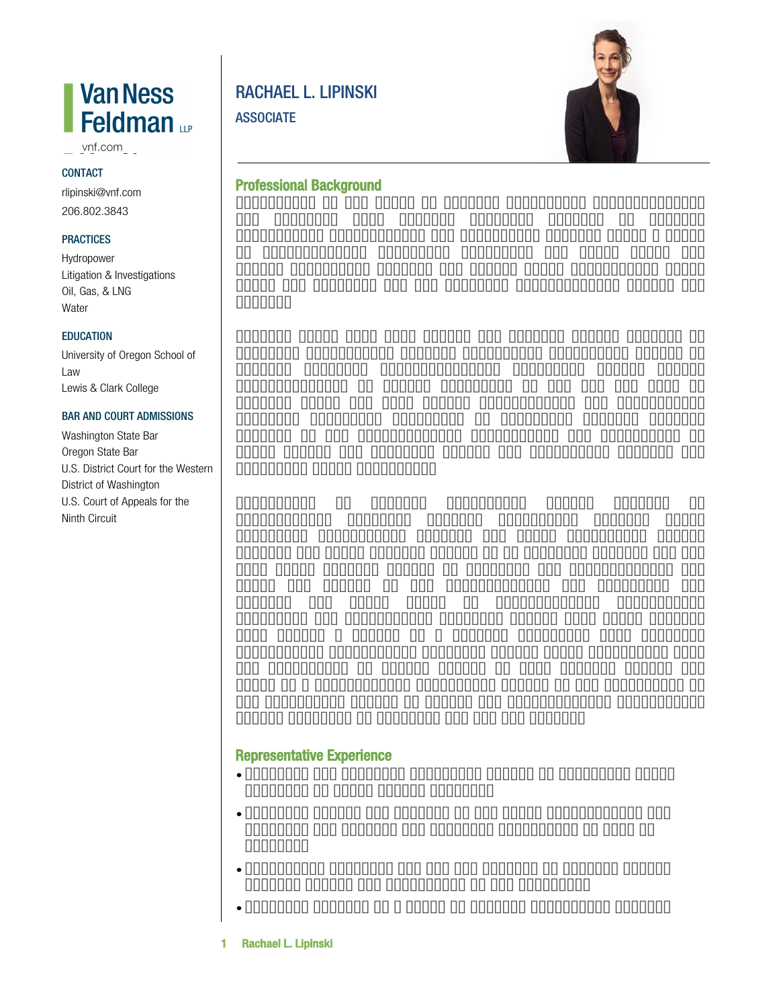# **Van Ness** Feldman <sub>Le</sub>

vnf.com

#### **CONTACT**

rlipinski@vnf.com 206.802.3843

#### **PRACTICES**

Hydropower Litigation & Investigations Oil, Gas, & LNG **Water** 

#### **EDUCATION**

University of Oregon School of Law Lewis & Clark College

#### BAR AND COURT ADMISSIONS

Washington State Bar Oregon State Bar U.S. District Court for the Western District of Washington U.S. Court of Appeals for the Ninth Circuit

# RACHAEL L. LIPINSKI **ASSOCIATE**



# **Professional Background**

Practicing in the areas of natural resources, environmental, and maritime law, Rachael provides counsel on complex regulatory, enforcement, and litigation matters under a range of environmental statutes, including the Clean Water Act (CWA), Endangered Species Act (ESA), Outer Continental Shelf Lands Act (OCSLA), and the National Environmental Policy Act (NEPA).

Rachael works with both public and private sector clients to navigate complicated federal regulatory permitting issues to develop critical infrastructure, including energy export infrastructure at marine terminals in the PNW and Gulf of Mexico, sol ar and wind energy development, and I arge-scale sediment diversion projects. In addition, Rachael advises clients in the often-related procurement and protection of water rights and provides advice and litigation support for municipal water suppliers.

Experience in federal government allows Rachael to successfully navigate complex regulatory issues, often involving overlapping federal and state interests. Before joining the firm, Rachael served as an Attorney Advisor for the U.S. Coast Guard's Office of Maritime and International Law where she worked in the Environmental Law Division. She advised the Coast Guard on environmental compliance, response, and enforcement matters. During this time, Rachael also served a detail as a Special Assistant U.S. Attorney prosecuting misdemeanor criminal cases. After graduating from the University of Oregon School of Law, Rachael served two years as a Presidential Management Fellow at the Department of the Interior's Bureau of Safety and Environmental Enforcement (BSEE) focusing on of f shore oil and gas issues.

## **Representative Experience**

- Counsels and provides strategic advice to municipal water entities on water rights matters.
- Provides advice and support in oil spill preparedness and response for onshore and offshore facilities as well as vessels.
- Represents of f shore oil and gas clients in federal agency appeals before the Department of the Interior.
- Supports clients in a range of federal permitting issues.
- **1 Rachael L. Lipinski**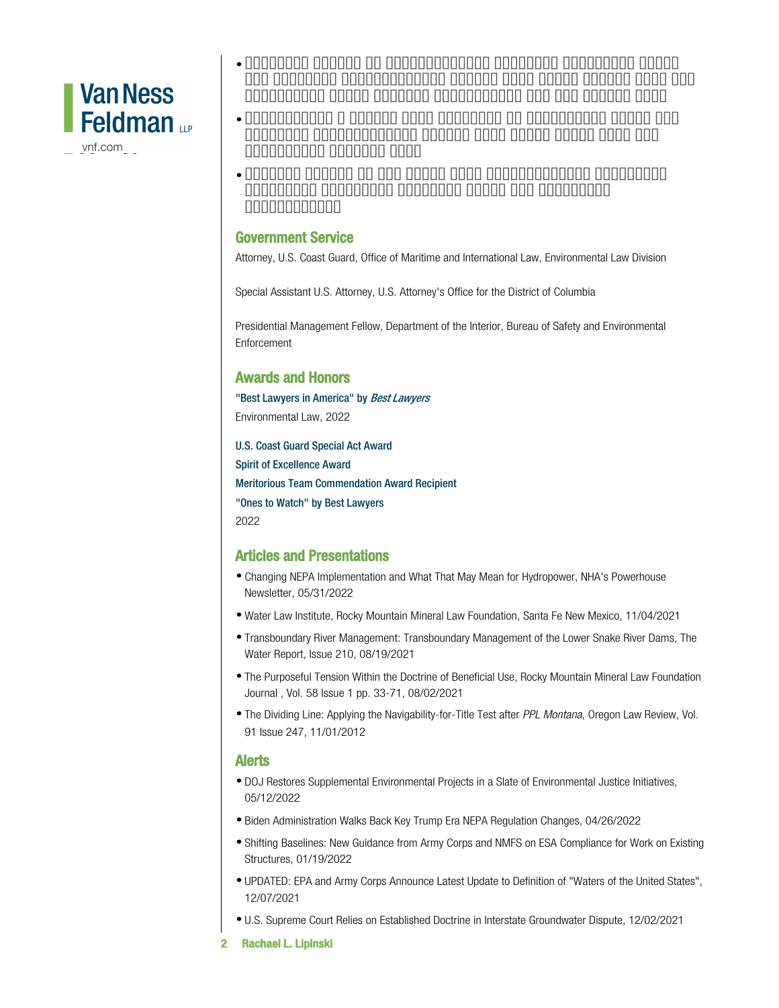

vnf.com

- Provides advice on environmental justice, including under the National Environmental Policy Act, Civil Rights Act, and Washington State Healthy Environment for All (HEAL) Act.
- Represented a public port district in litigation under the National Environmental Policy Act, Clean Water Act, and Endanger ed Species Act.
- Advised client on oil spill from hydroelectric facility, including immediate response steps and potential liabilities.

### **Government Service**

Attorney, U.S. Coast Guard, Office of Maritime and International Law, Environmental Law Division

Special Assistant U.S. Attorney, U.S. Attorney's Office for the District of Columbia

Presidential Management Fellow, Department of the Interior, Bureau of Safety and Environmental Enforcement

# **Awards and Honors**

"Best Lawyers in America" by *Best Lawyers* Environmental Law, 2022

U.S. Coast Guard Special Act Award Spirit of Excellence Award Meritorious Team Commendation Award Recipient "Ones to Watch" by Best Lawyers 2022

# **Articles and Presentations**

- Changing NEPA Implementation and What That May Mean for Hydropower, NHA's Powerhouse Newsletter, 05/31/2022
- Water Law Institute, Rocky Mountain Mineral Law Foundation, Santa Fe New Mexico, 11/04/2021
- Transboundary River Management: Transboundary Management of the Lower Snake River Dams, The Water Report, Issue 210, 08/19/2021
- The Purposeful Tension Within the Doctrine of Beneficial Use, Rocky Mountain Mineral Law Foundation Journal , Vol. 58 Issue 1 pp. 33-71, 08/02/2021
- The Dividing Line: Applying the Navigability-for-Title Test after *PPL Montana*, Oregon Law Review, Vol. 91 Issue 247, 11/01/2012

### **Alerts**

- DOJ Restores Supplemental Environmental Projects in a Slate of Environmental Justice Initiatives, 05/12/2022
- Biden Administration Walks Back Key Trump Era NEPA Regulation Changes, 04/26/2022
- Shifting Baselines: New Guidance from Army Corps and NMFS on ESA Compliance for Work on Existing Structures, 01/19/2022
- UPDATED: EPA and Army Corps Announce Latest Update to Definition of "Waters of the United States", 12/07/2021
- U.S. Supreme Court Relies on Established Doctrine in Interstate Groundwater Dispute, 12/02/2021
- **2 Rachael L. Lipinski**